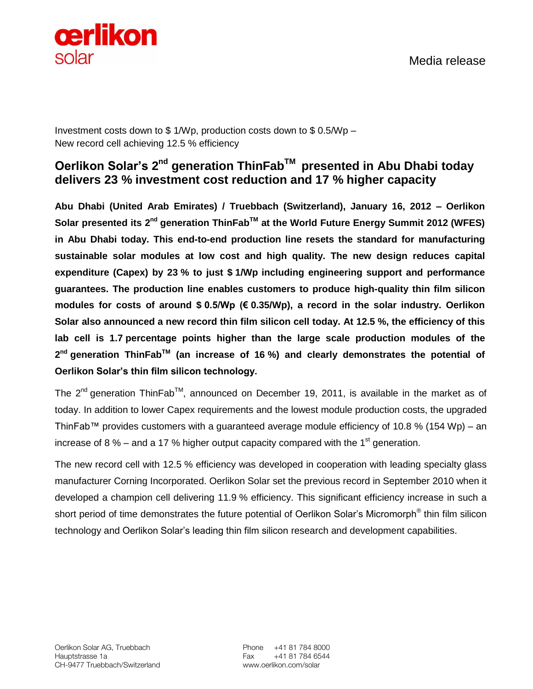

Media release

Investment costs down to \$ 1/Wp, production costs down to \$ 0.5/Wp – New record cell achieving 12.5 % efficiency

## **Oerlikon Solar's 2 nd generation ThinFabTM presented in Abu Dhabi today delivers 23 % investment cost reduction and 17 % higher capacity**

**Abu Dhabi (United Arab Emirates) / Truebbach (Switzerland), January 16, 2012 – Oerlikon Solar presented its 2nd generation ThinFabTM at the World Future Energy Summit 2012 (WFES) in Abu Dhabi today. This end-to-end production line resets the standard for manufacturing sustainable solar modules at low cost and high quality. The new design reduces capital expenditure (Capex) by 23 % to just \$ 1/Wp including engineering support and performance guarantees. The production line enables customers to produce high-quality thin film silicon modules for costs of around \$ 0.5/Wp (€ 0.35/Wp), a record in the solar industry. Oerlikon Solar also announced a new record thin film silicon cell today. At 12.5 %, the efficiency of this lab cell is 1.7 percentage points higher than the large scale production modules of the 2 nd generation ThinFabTM (an increase of 16 %) and clearly demonstrates the potential of Oerlikon Solar's thin film silicon technology.** 

The 2<sup>nd</sup> generation ThinFab<sup>™</sup>, announced on December 19, 2011, is available in the market as of today. In addition to lower Capex requirements and the lowest module production costs, the upgraded ThinFab™ provides customers with a guaranteed average module efficiency of 10.8 % (154 Wp) – an increase of 8 % – and a 17 % higher output capacity compared with the 1<sup>st</sup> generation.

The new record cell with 12.5 % efficiency was developed in cooperation with leading specialty glass manufacturer Corning Incorporated. Oerlikon Solar set the previous record in September 2010 when it developed a champion cell delivering 11.9 % efficiency. This significant efficiency increase in such a short period of time demonstrates the future potential of Oerlikon Solar's Micromorph® thin film silicon technology and Oerlikon Solar's leading thin film silicon research and development capabilities.